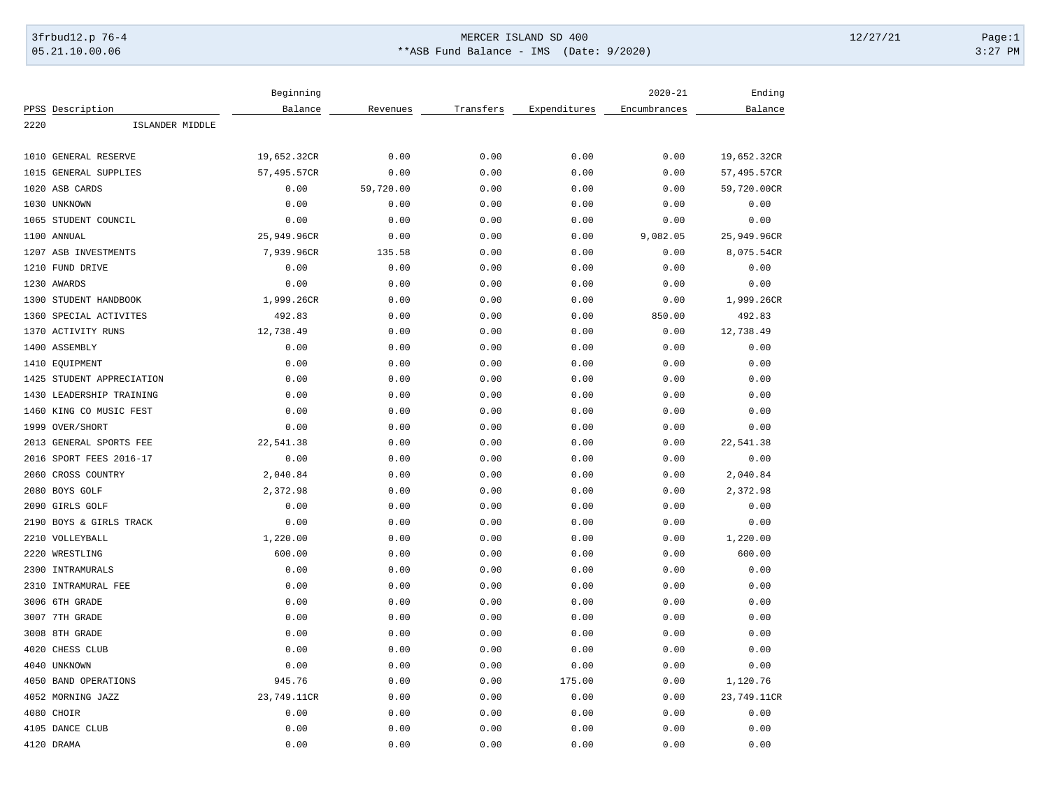## 3frbud12.p 76-4 Page:1 05.21.10.00.06 \*\*ASB Fund Balance - IMS (Date: 9/2020) 3:27 PM

|                                           | Beginning   |           |           |              | $2020 - 21$  | Ending      |
|-------------------------------------------|-------------|-----------|-----------|--------------|--------------|-------------|
| PPSS Description                          | Balance     | Revenues  | Transfers | Expenditures | Encumbrances | Balance     |
| 2220<br>ISLANDER MIDDLE                   |             |           |           |              |              |             |
|                                           |             |           |           |              |              |             |
| 1010 GENERAL RESERVE                      | 19,652.32CR | 0.00      | 0.00      | 0.00         | 0.00         | 19,652.32CR |
| <b>GENERAL SUPPLIES</b><br>1015           | 57,495.57CR | 0.00      | 0.00      | 0.00         | 0.00         | 57,495.57CR |
| 1020<br>ASB CARDS                         | 0.00        | 59,720.00 | 0.00      | 0.00         | 0.00         | 59,720.00CR |
| 1030 UNKNOWN                              | 0.00        | 0.00      | 0.00      | 0.00         | 0.00         | 0.00        |
| 1065 STUDENT COUNCIL                      | 0.00        | 0.00      | 0.00      | 0.00         | 0.00         | 0.00        |
| 1100<br>ANNUAL                            | 25,949.96CR | 0.00      | 0.00      | 0.00         | 9,082.05     | 25,949.96CR |
| 1207 ASB INVESTMENTS                      | 7,939.96CR  | 135.58    | 0.00      | 0.00         | 0.00         | 8,075.54CR  |
| 1210 FUND DRIVE                           | 0.00        | 0.00      | 0.00      | 0.00         | 0.00         | 0.00        |
| 1230 AWARDS                               | 0.00        | 0.00      | 0.00      | 0.00         | 0.00         | 0.00        |
| 1300<br>STUDENT HANDBOOK                  | 1,999.26CR  | 0.00      | 0.00      | 0.00         | 0.00         | 1,999.26CR  |
| SPECIAL ACTIVITES<br>1360                 | 492.83      | 0.00      | 0.00      | 0.00         | 850.00       | 492.83      |
| 1370<br><b>ACTIVITY RUNS</b>              | 12,738.49   | 0.00      | 0.00      | 0.00         | 0.00         | 12,738.49   |
| 1400 ASSEMBLY                             | 0.00        | 0.00      | 0.00      | 0.00         | 0.00         | 0.00        |
| 1410 EQUIPMENT                            | 0.00        | 0.00      | 0.00      | 0.00         | 0.00         | 0.00        |
| STUDENT APPRECIATION<br>1425              | 0.00        | 0.00      | 0.00      | 0.00         | 0.00         | 0.00        |
| 1430<br>LEADERSHIP TRAINING               | 0.00        | 0.00      | 0.00      | 0.00         | 0.00         | 0.00        |
| KING CO MUSIC FEST<br>1460                | 0.00        | 0.00      | 0.00      | 0.00         | 0.00         | 0.00        |
| 1999 OVER/SHORT                           | 0.00        | 0.00      | 0.00      | 0.00         | 0.00         | 0.00        |
| 2013 GENERAL SPORTS FEE                   | 22,541.38   | 0.00      | 0.00      | 0.00         | 0.00         | 22,541.38   |
| 2016 SPORT FEES 2016-17                   | 0.00        | 0.00      | 0.00      | 0.00         | 0.00         | 0.00        |
| 2060<br>CROSS COUNTRY                     | 2,040.84    | 0.00      | 0.00      | 0.00         | 0.00         | 2,040.84    |
| 2080 BOYS GOLF                            | 2,372.98    | 0.00      | 0.00      | 0.00         | 0.00         | 2,372.98    |
| 2090 GIRLS GOLF                           | 0.00        | 0.00      | 0.00      | 0.00         | 0.00         | 0.00        |
| 2190 BOYS & GIRLS TRACK                   | 0.00        | 0.00      | 0.00      | 0.00         | 0.00         | 0.00        |
| 2210 VOLLEYBALL                           | 1,220.00    | 0.00      | 0.00      | 0.00         | 0.00         | 1,220.00    |
| 2220<br>WRESTLING                         | 600.00      | 0.00      | 0.00      | 0.00         | 0.00         | 600.00      |
| 2300<br>INTRAMURALS                       | 0.00        | 0.00      | 0.00      | 0.00         | 0.00         | 0.00        |
| INTRAMURAL FEE<br>2310                    | 0.00        | 0.00      | 0.00      | 0.00         | 0.00         | 0.00        |
| 3006 6TH GRADE                            | 0.00        | 0.00      | 0.00      | 0.00         | 0.00         | 0.00        |
| 3007 7TH GRADE                            | 0.00        | 0.00      | 0.00      | 0.00         | 0.00         | 0.00        |
| 3008 8TH GRADE                            | 0.00        | 0.00      | 0.00      | 0.00         | 0.00         | 0.00        |
| 4020 CHESS CLUB                           | 0.00        | 0.00      | 0.00      | 0.00         | 0.00         | 0.00        |
| 4040<br>UNKNOWN                           | 0.00        | 0.00      | 0.00      | 0.00         | 0.00         | 0.00        |
|                                           | 945.76      | 0.00      | 0.00      | 175.00       |              |             |
| 4050 BAND OPERATIONS<br>4052 MORNING JAZZ |             |           | 0.00      | 0.00         | 0.00         | 1,120.76    |
| 4080 CHOIR                                | 23,749.11CR | 0.00      |           |              | 0.00         | 23,749.11CR |
|                                           | 0.00        | 0.00      | 0.00      | 0.00         | 0.00         | 0.00        |
| 4105 DANCE CLUB                           | 0.00        | 0.00      | 0.00      | 0.00         | 0.00         | 0.00        |
| 4120 DRAMA                                | 0.00        | 0.00      | 0.00      | 0.00         | 0.00         | 0.00        |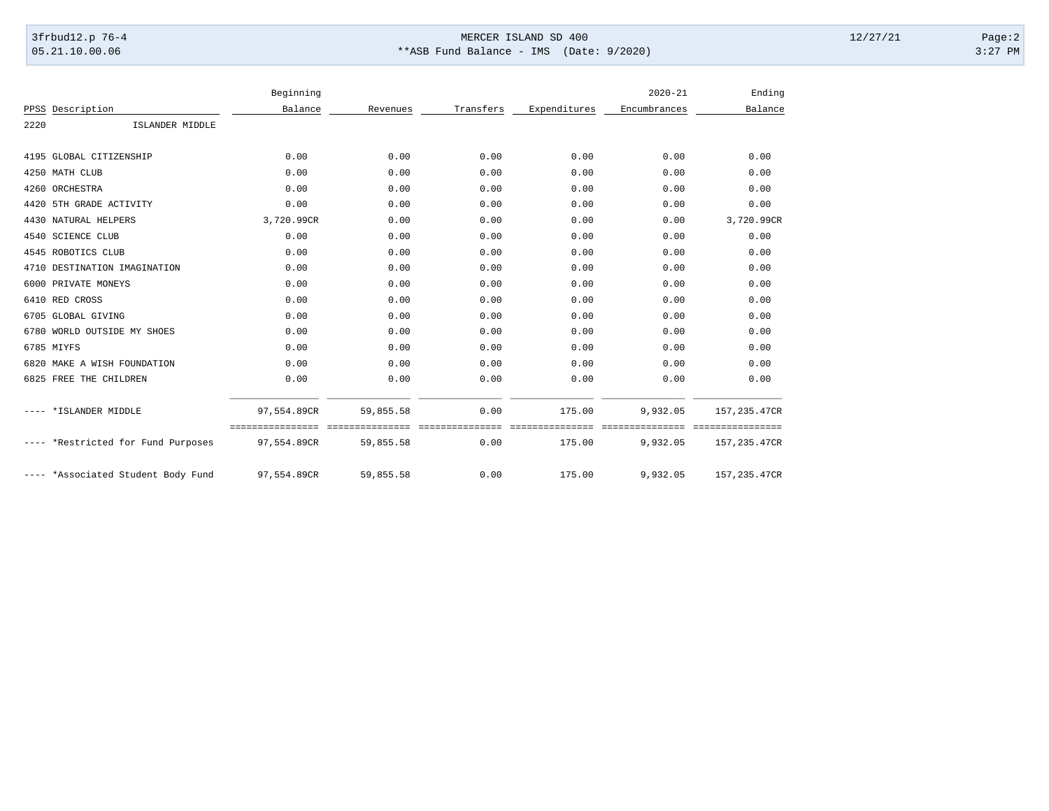## 3frbud12.p 76-4 Page:2 05.21.10.00.06 \*\*ASB Fund Balance - IMS (Date: 9/2020) 3:27 PM

|      |                               | Beginning                       |                              |                         |                           | $2020 - 21$             | Ending                           |
|------|-------------------------------|---------------------------------|------------------------------|-------------------------|---------------------------|-------------------------|----------------------------------|
|      | PPSS Description              | Balance                         | Revenues                     | Transfers               | Expenditures              | Encumbrances            | Balance                          |
| 2220 | ISLANDER MIDDLE               |                                 |                              |                         |                           |                         |                                  |
|      | 4195 GLOBAL CITIZENSHIP       | 0.00                            | 0.00                         | 0.00                    | 0.00                      | 0.00                    | 0.00                             |
|      | 4250 MATH CLUB                | 0.00                            | 0.00                         | 0.00                    | 0.00                      | 0.00                    | 0.00                             |
|      | 4260 ORCHESTRA                | 0.00                            | 0.00                         | 0.00                    | 0.00                      | 0.00                    | 0.00                             |
|      | 4420 5TH GRADE ACTIVITY       | 0.00                            | 0.00                         | 0.00                    | 0.00                      | 0.00                    | 0.00                             |
|      | 4430 NATURAL HELPERS          | 3,720.99CR                      | 0.00                         | 0.00                    | 0.00                      | 0.00                    | 3,720.99CR                       |
|      | 4540 SCIENCE CLUB             | 0.00                            | 0.00                         | 0.00                    | 0.00                      | 0.00                    | 0.00                             |
|      | 4545 ROBOTICS CLUB            | 0.00                            | 0.00                         | 0.00                    | 0.00                      | 0.00                    | 0.00                             |
|      | 4710 DESTINATION IMAGINATION  | 0.00                            | 0.00                         | 0.00                    | 0.00                      | 0.00                    | 0.00                             |
| 6000 | PRIVATE MONEYS                | 0.00                            | 0.00                         | 0.00                    | 0.00                      | 0.00                    | 0.00                             |
|      | 6410 RED CROSS                | 0.00                            | 0.00                         | 0.00                    | 0.00                      | 0.00                    | 0.00                             |
| 6705 | <b>GLOBAL GIVING</b>          | 0.00                            | 0.00                         | 0.00                    | 0.00                      | 0.00                    | 0.00                             |
|      | 6780 WORLD OUTSIDE MY SHOES   | 0.00                            | 0.00                         | 0.00                    | 0.00                      | 0.00                    | 0.00                             |
|      | 6785 MIYFS                    | 0.00                            | 0.00                         | 0.00                    | 0.00                      | 0.00                    | 0.00                             |
|      | 6820 MAKE A WISH FOUNDATION   | 0.00                            | 0.00                         | 0.00                    | 0.00                      | 0.00                    | 0.00                             |
|      | 6825 FREE THE CHILDREN        | 0.00                            | 0.00                         | 0.00                    | 0.00                      | 0.00                    | 0.00                             |
|      | *ISLANDER MIDDLE              | 97,554.89CR                     | 59,855.58                    | 0.00                    | 175.00                    | 9,932.05                | 157, 235.47CR                    |
|      | *Restricted for Fund Purposes | ================<br>97,554.89CR | ---------------<br>59,855.58 | ---------------<br>0.00 | ---------------<br>175.00 | -----------<br>9,932.05 | ================<br>157,235.47CR |
|      | *Associated Student Body Fund | 97,554.89CR                     | 59,855.58                    | 0.00                    | 175.00                    | 9,932.05                | 157, 235.47CR                    |